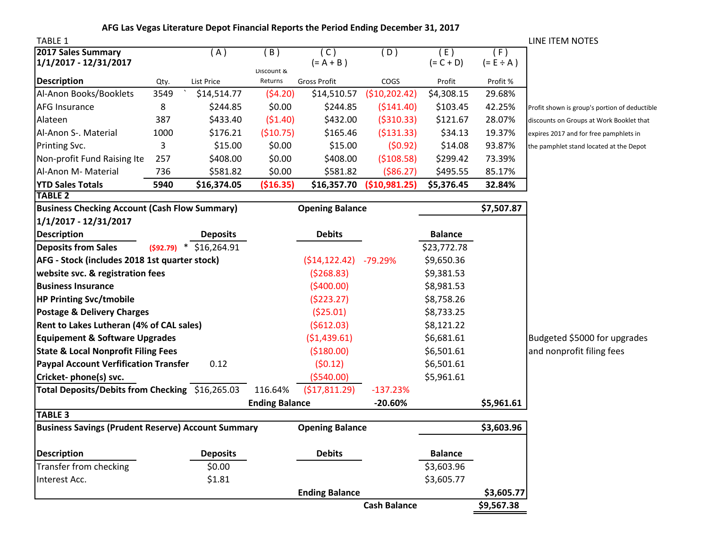| <b>TABLE 1</b>                                            |                        |                          |                       |                       |               |                    |                       | LINE ITEM NOTES                               |
|-----------------------------------------------------------|------------------------|--------------------------|-----------------------|-----------------------|---------------|--------------------|-----------------------|-----------------------------------------------|
| 2017 Sales Summary<br>1/1/2017 - 12/31/2017               |                        | (A)                      | (B)                   | (C)<br>$(= A + B)$    | (D)           | (E)<br>$(= C + D)$ | (F)<br>$(= E \div A)$ |                                               |
| <b>Description</b>                                        | Qty.                   | <b>List Price</b>        | Discount &<br>Returns | <b>Gross Profit</b>   | COGS          | Profit             | Profit %              |                                               |
| Al-Anon Books/Booklets                                    | 3549                   | \$14,514.77              | (54.20)               | \$14,510.57           | (\$10,202.42) | \$4,308.15         | 29.68%                |                                               |
| <b>AFG Insurance</b>                                      | 8                      | \$244.85                 | \$0.00                | \$244.85              | (5141.40)     | \$103.45           | 42.25%                | Profit shown is group's portion of deductible |
| Alateen                                                   | 387                    | \$433.40                 | (51.40)               | \$432.00              | ( \$310.33)   | \$121.67           | 28.07%                | discounts on Groups at Work Booklet that      |
| Al-Anon S-. Material                                      | 1000                   | \$176.21                 | (510.75)              | \$165.46              | (5131.33)     | \$34.13            | 19.37%                | expires 2017 and for free pamphlets in        |
| Printing Svc.                                             | 3                      | \$15.00                  | \$0.00                | \$15.00               | (50.92)       | \$14.08            | 93.87%                | the pamphlet stand located at the Depot       |
| Non-profit Fund Raising Ite                               | 257                    | \$408.00                 | \$0.00                | \$408.00              | (5108.58)     | \$299.42           | 73.39%                |                                               |
| Al-Anon M- Material                                       | 736                    | \$581.82                 | \$0.00                | \$581.82              | ( \$86.27)    | \$495.55           | 85.17%                |                                               |
| <b>YTD Sales Totals</b>                                   | 5940                   | \$16,374.05              | ( \$16.35)            | \$16,357.70           | (\$10,981.25) | \$5,376.45         | 32.84%                |                                               |
| <b>TABLE 2</b>                                            |                        |                          |                       |                       |               |                    |                       |                                               |
| <b>Business Checking Account (Cash Flow Summary)</b>      |                        | <b>Opening Balance</b>   |                       |                       | \$7,507.87    |                    |                       |                                               |
| 1/1/2017 - 12/31/2017                                     |                        |                          |                       |                       |               |                    |                       |                                               |
| <b>Description</b>                                        |                        | <b>Deposits</b>          |                       | <b>Debits</b>         |               | <b>Balance</b>     |                       |                                               |
| <b>Deposits from Sales</b>                                |                        | $(592.79)$ * \$16,264.91 |                       |                       |               | \$23,772.78        |                       |                                               |
| AFG - Stock (includes 2018 1st quarter stock)             |                        |                          |                       | (514, 122.42)         | $-79.29%$     | \$9,650.36         |                       |                                               |
| website svc. & registration fees                          |                        | (5268.83)                |                       | \$9,381.53            |               |                    |                       |                                               |
| <b>Business Insurance</b>                                 |                        |                          |                       | (5400.00)             |               | \$8,981.53         |                       |                                               |
| <b>HP Printing Svc/tmobile</b>                            |                        |                          |                       | (5223.27)             |               | \$8,758.26         |                       |                                               |
| <b>Postage &amp; Delivery Charges</b>                     |                        | (525.01)                 |                       | \$8,733.25            |               |                    |                       |                                               |
| Rent to Lakes Lutheran (4% of CAL sales)                  |                        | (5612.03)                |                       | \$8,121.22            |               |                    |                       |                                               |
| <b>Equipement &amp; Software Upgrades</b>                 |                        |                          |                       | (51, 439.61)          |               | \$6,681.61         |                       | Budgeted \$5000 for upgrades                  |
| <b>State &amp; Local Nonprofit Filing Fees</b>            |                        |                          |                       | ( \$180.00)           |               | \$6,501.61         |                       | and nonprofit filing fees                     |
| <b>Paypal Account Verfification Transfer</b>              |                        | 0.12                     |                       | (50.12)               |               | \$6,501.61         |                       |                                               |
| Cricket-phone(s) svc.                                     |                        |                          |                       | (5540.00)             |               | \$5,961.61         |                       |                                               |
| Total Deposits/Debits from Checking \$16,265.03           |                        |                          | 116.64%               | (\$17,811.29)         | $-137.23%$    |                    |                       |                                               |
|                                                           |                        |                          | <b>Ending Balance</b> |                       | $-20.60%$     |                    | \$5,961.61            |                                               |
| <b>TABLE 3</b>                                            |                        |                          |                       |                       |               |                    |                       |                                               |
| <b>Business Savings (Prudent Reserve) Account Summary</b> | <b>Opening Balance</b> |                          |                       | \$3,603.96            |               |                    |                       |                                               |
| <b>Description</b>                                        |                        | <b>Deposits</b>          |                       | <b>Debits</b>         |               | <b>Balance</b>     |                       |                                               |
| Transfer from checking                                    |                        | \$0.00                   |                       |                       |               | \$3,603.96         |                       |                                               |
| Interest Acc.                                             |                        | \$1.81                   |                       |                       |               | \$3,605.77         |                       |                                               |
|                                                           |                        |                          |                       | <b>Ending Balance</b> |               |                    | \$3,605.77            |                                               |
|                                                           |                        | <b>Cash Balance</b>      |                       |                       | \$9,567.38    |                    |                       |                                               |

**AFG Las Vegas Literature Depot Financial Reports the Period Ending December 31, 2017**